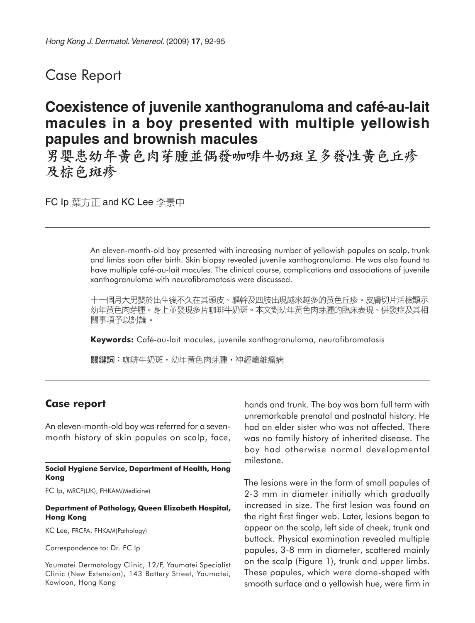## Case Report

# **Coexistence of juvenile xanthogranuloma and café-au-lait macules in a boy presented with multiple yellowish papules and brownish macules**

男嬰患幼年黄色肉芽腫並偶發咖啡牛奶斑呈多發性黄色丘疹 及棕色斑疹

FC Ip 葉方正 and KC Lee 李景中

An eleven-month-old boy presented with increasing number of yellowish papules on scalp, trunk and limbs soon after birth. Skin biopsy revealed juvenile xanthogranuloma. He was also found to have multiple café-au-lait macules. The clinical course, complications and associations of juvenile xanthogranuloma with neurofibromatosis were discussed.

十一個月大男嬰於出生後不久在其頭皮、軀幹及四肢出現越來越多的黃色丘疹。皮膚切片活檢顯示 幼年黃色肉芽腫。身上並發現多片咖啡牛奶斑。本文對幼年黃色肉芽腫的臨床表現、併發症及其相 關事項予以討論。

**Keywords:** Café-au-lait macules, juvenile xanthogranuloma, neurofibromatosis

關鍵詞:咖啡牛奶斑,幼年黃色肉芽腫,神經纖維瘤病

## **Case report**

An eleven-month-old boy was referred for a sevenmonth history of skin papules on scalp, face,

**Social Hygiene Service, Department of Health, Hong Kong**

FC Ip, MRCP(UK), FHKAM(Medicine)

#### **Department of Pathology, Queen Elizabeth Hospital, Hong Kong**

KC Lee, FRCPA, FHKAM(Pathology)

Correspondence to: Dr. FC Ip

Yaumatei Dermatology Clinic, 12/F, Yaumatei Specialist Clinic (New Extension), 143 Battery Street, Yaumatei, Kowloon, Hong Kong

hands and trunk. The boy was born full term with unremarkable prenatal and postnatal history. He had an elder sister who was not affected. There was no family history of inherited disease. The boy had otherwise normal developmental milestone.

The lesions were in the form of small papules of 2-3 mm in diameter initially which gradually increased in size. The first lesion was found on the right first finger web. Later, lesions began to appear on the scalp, left side of cheek, trunk and buttock. Physical examination revealed multiple papules, 3-8 mm in diameter, scattered mainly on the scalp (Figure 1), trunk and upper limbs. These papules, which were dome-shaped with smooth surface and a yellowish hue, were firm in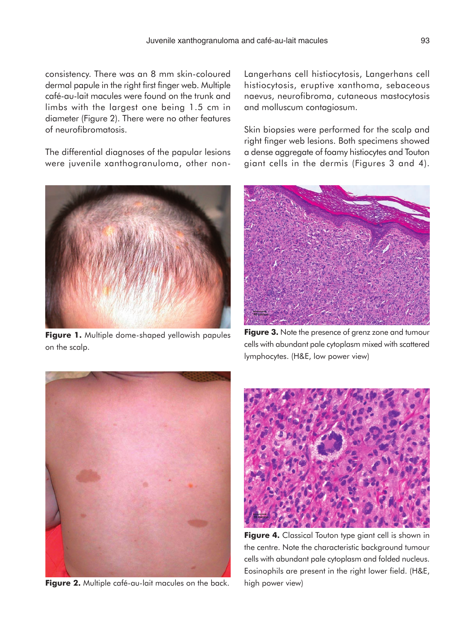consistency. There was an 8 mm skin-coloured dermal papule in the right first finger web. Multiple café-au-lait macules were found on the trunk and limbs with the largest one being 1.5 cm in diameter (Figure 2). There were no other features of neurofibromatosis.

The differential diagnoses of the papular lesions were juvenile xanthogranuloma, other non-



**Figure 1.** Multiple dome-shaped yellowish papules on the scalp.

Langerhans cell histiocytosis, Langerhans cell histiocytosis, eruptive xanthoma, sebaceous naevus, neurofibroma, cutaneous mastocytosis and molluscum contagiosum.

Skin biopsies were performed for the scalp and right finger web lesions. Both specimens showed a dense aggregate of foamy histiocytes and Touton giant cells in the dermis (Figures 3 and 4).



**Figure 3.** Note the presence of grenz zone and tumour cells with abundant pale cytoplasm mixed with scattered lymphocytes. (H&E, low power view)



**Figure 2.** Multiple café-au-lait macules on the back.



**Figure 4.** Classical Touton type giant cell is shown in the centre. Note the characteristic background tumour cells with abundant pale cytoplasm and folded nucleus. Eosinophils are present in the right lower field. (H&E, high power view)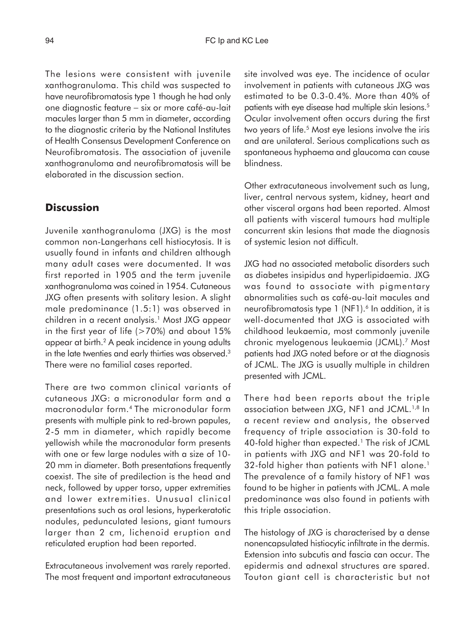The lesions were consistent with juvenile xanthogranuloma. This child was suspected to have neurofibromatosis type 1 though he had only one diagnostic feature − six or more café-au-lait macules larger than 5 mm in diameter, according to the diagnostic criteria by the National Institutes of Health Consensus Development Conference on Neurofibromatosis. The association of juvenile xanthogranuloma and neurofibromatosis will be elaborated in the discussion section.

## **Discussion**

Juvenile xanthogranuloma (JXG) is the most common non-Langerhans cell histiocytosis. It is usually found in infants and children although many adult cases were documented. It was first reported in 1905 and the term juvenile xanthogranuloma was coined in 1954. Cutaneous JXG often presents with solitary lesion. A slight male predominance (1.5:1) was observed in children in a recent analysis.<sup>1</sup> Most JXG appear in the first year of life  $(>70%)$  and about 15% appear at birth.2 A peak incidence in young adults in the late twenties and early thirties was observed.<sup>3</sup> There were no familial cases reported.

There are two common clinical variants of cutaneous JXG: a micronodular form and a macronodular form.4 The micronodular form presents with multiple pink to red-brown papules, 2-5 mm in diameter, which rapidly become yellowish while the macronodular form presents with one or few large nodules with a size of 10- 20 mm in diameter. Both presentations frequently coexist. The site of predilection is the head and neck, followed by upper torso, upper extremities and lower extremities. Unusual clinical presentations such as oral lesions, hyperkeratotic nodules, pedunculated lesions, giant tumours larger than 2 cm, lichenoid eruption and reticulated eruption had been reported.

Extracutaneous involvement was rarely reported. The most frequent and important extracutaneous site involved was eye. The incidence of ocular involvement in patients with cutaneous JXG was estimated to be 0.3-0.4%. More than 40% of patients with eye disease had multiple skin lesions.<sup>5</sup> Ocular involvement often occurs during the first two years of life.5 Most eye lesions involve the iris and are unilateral. Serious complications such as spontaneous hyphaema and glaucoma can cause blindness.

Other extracutaneous involvement such as lung, liver, central nervous system, kidney, heart and other visceral organs had been reported. Almost all patients with visceral tumours had multiple concurrent skin lesions that made the diagnosis of systemic lesion not difficult.

JXG had no associated metabolic disorders such as diabetes insipidus and hyperlipidaemia. JXG was found to associate with pigmentary abnormalities such as café-au-lait macules and neurofibromatosis type 1 (NF1).<sup>6</sup> In addition, it is well-documented that JXG is associated with childhood leukaemia, most commonly juvenile chronic myelogenous leukaemia (JCML).7 Most patients had JXG noted before or at the diagnosis of JCML. The JXG is usually multiple in children presented with JCML.

There had been reports about the triple association between JXG, NF1 and JCML.<sup>1,8</sup> In a recent review and analysis, the observed frequency of triple association is 30-fold to 40-fold higher than expected.<sup>1</sup> The risk of JCML in patients with JXG and NF1 was 20-fold to 32-fold higher than patients with NF1 alone.<sup>1</sup> The prevalence of a family history of NF1 was found to be higher in patients with JCML. A male predominance was also found in patients with this triple association.

The histology of JXG is characterised by a dense nonencapsulated histiocytic infiltrate in the dermis. Extension into subcutis and fascia can occur. The epidermis and adnexal structures are spared. Touton giant cell is characteristic but not